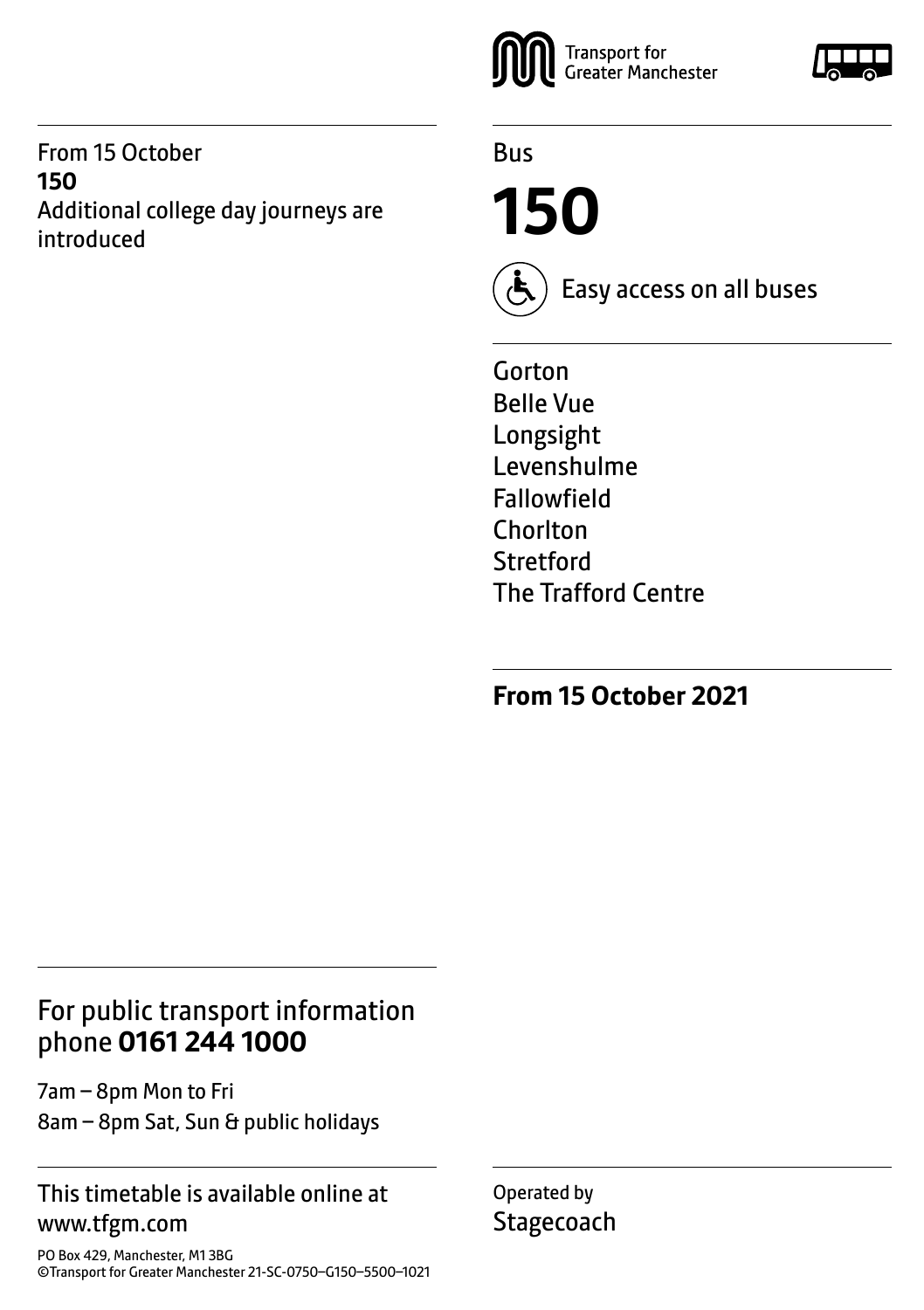From 15 October **150** Additional college day journeys are introduced



Bus

**150**



Easy access on all buses

Gorton Belle Vue Longsight Levenshulme Fallowfield Chorlton **Stretford** The Trafford Centre

**From 15 October 2021**

### For public transport information phone **0161 244 1000**

7am – 8pm Mon to Fri 8am – 8pm Sat, Sun & public holidays

#### This timetable is available online at www.tfgm.com

PO Box 429, Manchester, M1 3BG ©Transport for Greater Manchester 21-SC-0750–G150–5500–1021 Operated by **Stagecoach** 

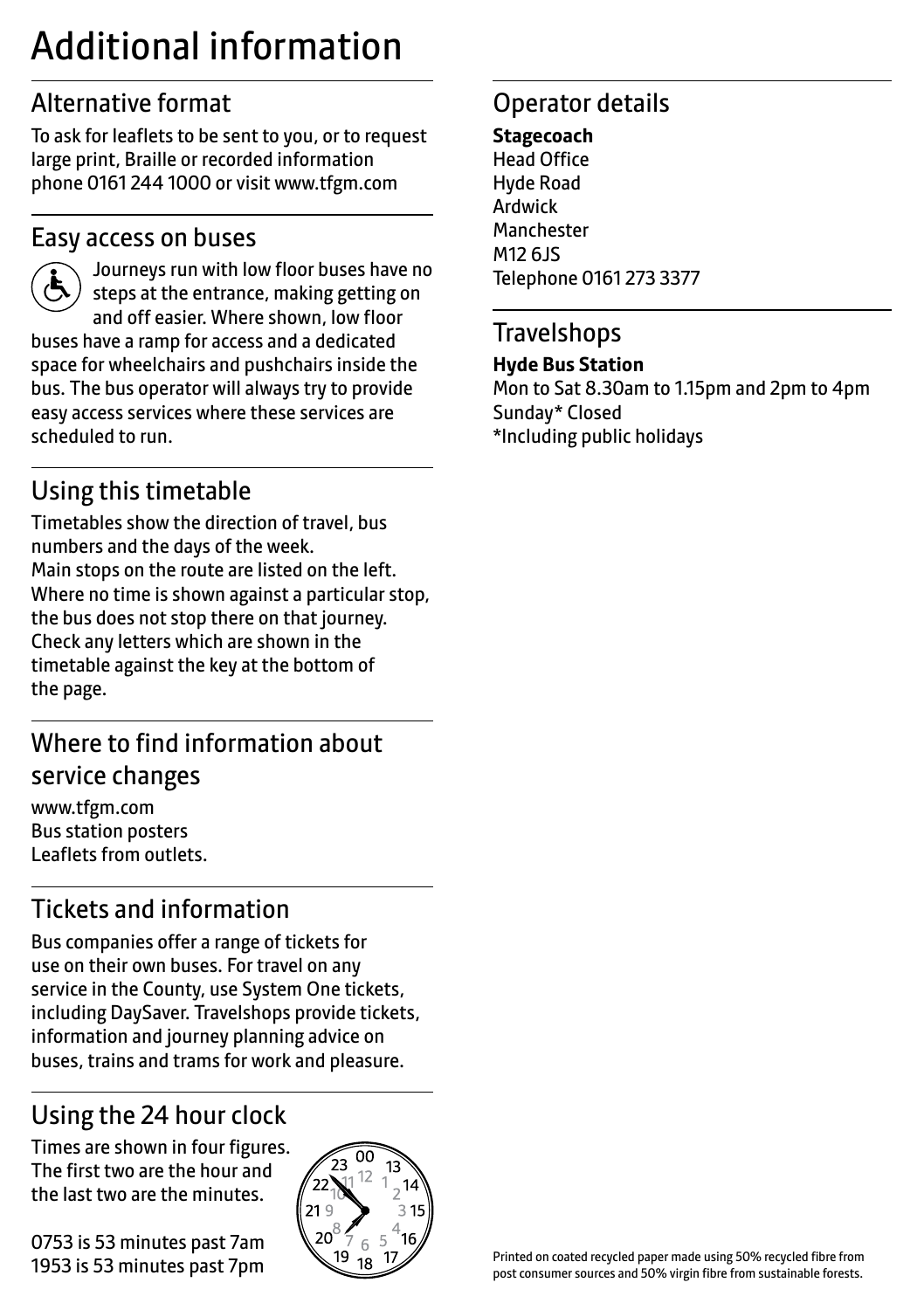## Additional information

## Alternative format

To ask for leaflets to be sent to you, or to request large print, Braille or recorded information phone 0161 244 1000 or visit www.tfgm.com

#### Easy access on buses



 Journeys run with low floor buses have no steps at the entrance, making getting on and off easier. Where shown, low floor buses have a ramp for access and a dedicated space for wheelchairs and pushchairs inside the bus. The bus operator will always try to provide easy access services where these services are scheduled to run.

## Using this timetable

Timetables show the direction of travel, bus numbers and the days of the week. Main stops on the route are listed on the left. Where no time is shown against a particular stop, the bus does not stop there on that journey. Check any letters which are shown in the timetable against the key at the bottom of the page.

## Where to find information about service changes

www.tfgm.com Bus station posters Leaflets from outlets.

## Tickets and information

Bus companies offer a range of tickets for use on their own buses. For travel on any service in the County, use System One tickets, including DaySaver. Travelshops provide tickets, information and journey planning advice on buses, trains and trams for work and pleasure.

## Using the 24 hour clock

Times are shown in four figures. The first two are the hour and the last two are the minutes.

0753 is 53 minutes past 7am 1953 is 53 minutes past 7pm



## Operator details

#### **Stagecoach** Head Office Hyde Road Ardwick **Manchester** M12 6JS Telephone 0161 273 3377

#### **Travelshops**

#### **Hyde Bus Station**

Mon to Sat 8.30am to 1.15pm and 2pm to 4pm Sunday\* Closed \*Including public holidays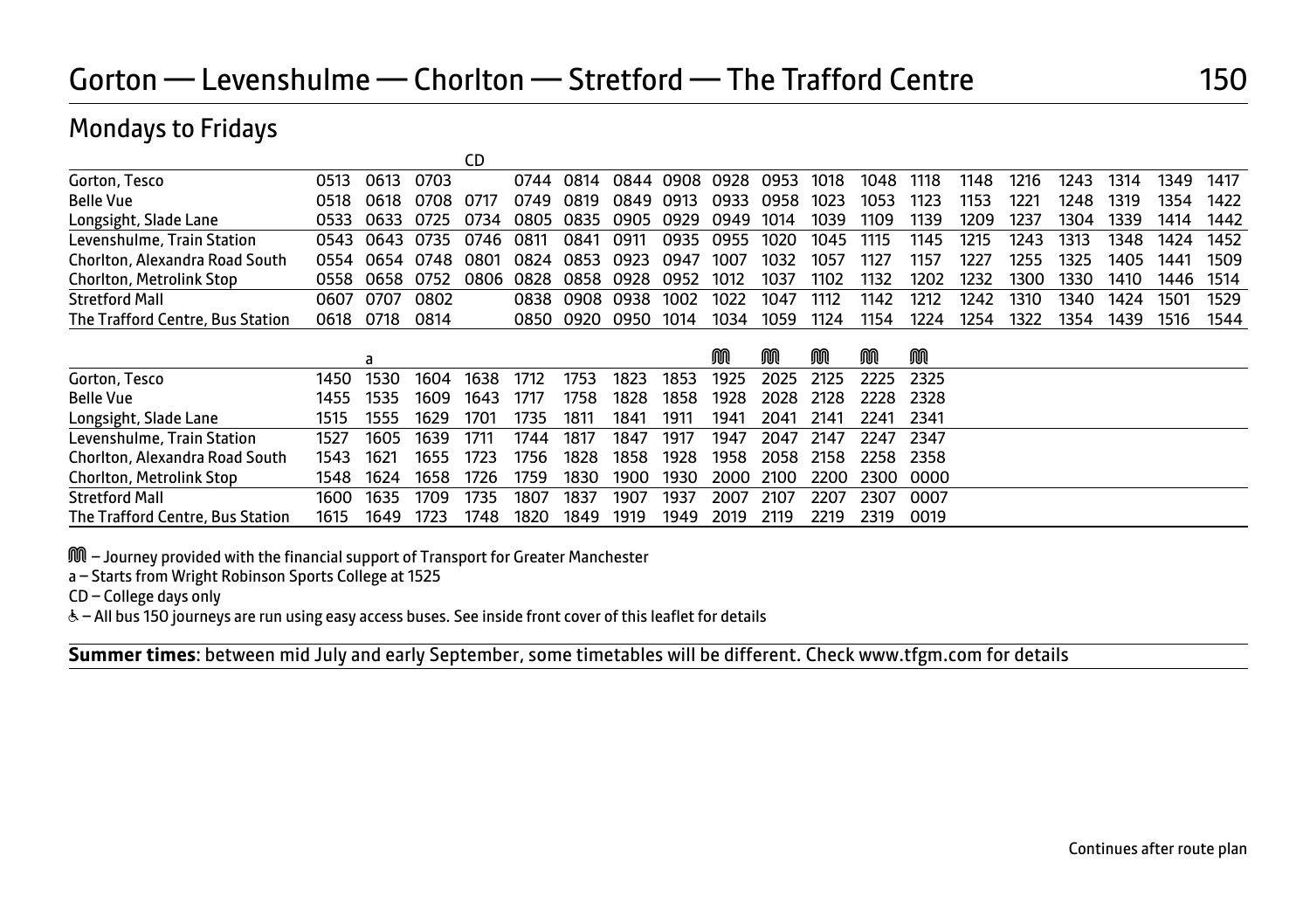#### Mondays to Fridays

| Gorton, Tesco                    | 0513  | 0613 | 0703           |                                    |                     | 0744 0814 |                | 0844 0908 0928 0953 1018 |           |                |           | 1048 | 1118 | 1148 | 1216 | 1243 | 1314 | 1349      | 1417   |
|----------------------------------|-------|------|----------------|------------------------------------|---------------------|-----------|----------------|--------------------------|-----------|----------------|-----------|------|------|------|------|------|------|-----------|--------|
| <b>Belle Vue</b>                 | 0518  |      | 0618 0708 0717 |                                    |                     | 0749 0819 | 0849 0913      |                          |           | 0933 0958 1023 |           | 1053 | 1123 | 1153 | 1221 | 1248 | 1319 | 1354      | 1422   |
| Longsight, Slade Lane            | 0533. |      |                | 0633 0725 0734                     | 0805 0835 0905 0929 |           |                |                          | 0949 1014 |                | 1039      | 1109 | 1139 | 1209 | 1237 | 1304 | 1339 | 1414      | 1442   |
| Levenshulme, Train Station       |       |      |                | 0543 0643 0735 0746 0811           |                     | 0841 0911 |                |                          |           | 0935 0955 1020 | 1045 1115 |      | 1145 | 1215 | 1243 | 1313 | 1348 | 1424      | 1452   |
| Chorlton, Alexandra Road South   |       |      |                | 0554 0654 0748 0801                | 0824 0853 0923 0947 |           |                |                          | 1007      | 1032           | 1057      | 1127 | 1157 | 1227 | 1255 | 1325 |      | 1405 1441 | - 1509 |
| <b>Chorlton, Metrolink Stop</b>  |       |      |                | 0558 0658 0752 0806 0828 0858 0928 |                     |           |                | 0952                     | 1012      | 1037           | 1102      | 1132 | 1202 | 1232 | 1300 | 1330 | 1410 | 1446 1514 |        |
| <b>Stretford Mall</b>            | 0607  | 0707 | 0802           |                                    |                     |           | 0838 0908 0938 | 1002                     | 1022      | 1047           | 1112      | 1142 | 1212 | 1242 | 1310 | 1340 | 1424 | 1501      | 1529   |
| The Trafford Centre, Bus Station | 0618  | 0718 | 0814           |                                    |                     |           | 0850 0920 0950 | 1014                     | 1034      | 1059           | 1124      | 1154 | 1224 | 1254 | 1322 | 1354 | 1439 | - 1516    | 1544   |
|                                  |       |      |                |                                    |                     |           |                |                          |           |                |           |      |      |      |      |      |      |           |        |

|                                  |      |           |           |      |      |      |      |      | M    | ⋒         | M    | M                        | M    |
|----------------------------------|------|-----------|-----------|------|------|------|------|------|------|-----------|------|--------------------------|------|
| Gorton, Tesco                    |      | 1450 1530 | 1604      | 1638 | 1712 | 1753 | 1823 | 1853 | 1925 |           |      | 2025 2125 2225 2325      |      |
| <b>Belle Vue</b>                 |      | 1455 1535 | 1609      | 1643 | 1717 | 1758 | 1828 | 1858 |      |           |      | 1928 2028 2128 2228 2328 |      |
| Longsight, Slade Lane            | 1515 | 1555      | 1629      | 1701 | 1735 | 1811 | 1841 | 1911 | 1941 | 2041      | 2141 | 2241 2341                |      |
| Levenshulme, Train Station       | 1527 | 1605      | 1639      | 1711 | 1744 | 1817 | 1847 | 1917 | 1947 | 2047 2147 |      | 2247 2347                |      |
| Chorlton, Alexandra Road South   | 1543 | - 1621    | 1655      | 1723 | 1756 | 1828 | 1858 | 1928 |      |           |      | 1958 2058 2158 2258 2358 |      |
| <b>Chorlton, Metrolink Stop</b>  |      | 1548 1624 | 1658 1726 |      | 1759 | 1830 | 1900 | 1930 |      |           |      | 2000 2100 2200 2300 0000 |      |
| <b>Stretford Mall</b>            |      | 1600 1635 | 1709      | 1735 | 1807 | 1837 | 1907 | 1937 | 2007 | 2107      | 2207 | 2307                     | 0007 |
| The Trafford Centre, Bus Station | 1615 | 1649      | 1723      | 1748 | 1820 | 1849 | 1919 | 1949 | 2019 | 2119      | 2219 | 2319                     | 0019 |

M – Journey provided with the financial support of Transport for Greater Manchester

a – Starts from Wright Robinson Sports College at 1525

CD – College days only

W– All bus 150 journeys are run using easy access buses. See inside front cover of this leaflet for details

**Summer times**: between mid July and early September, some timetables will be different. Check www.tfgm.com for details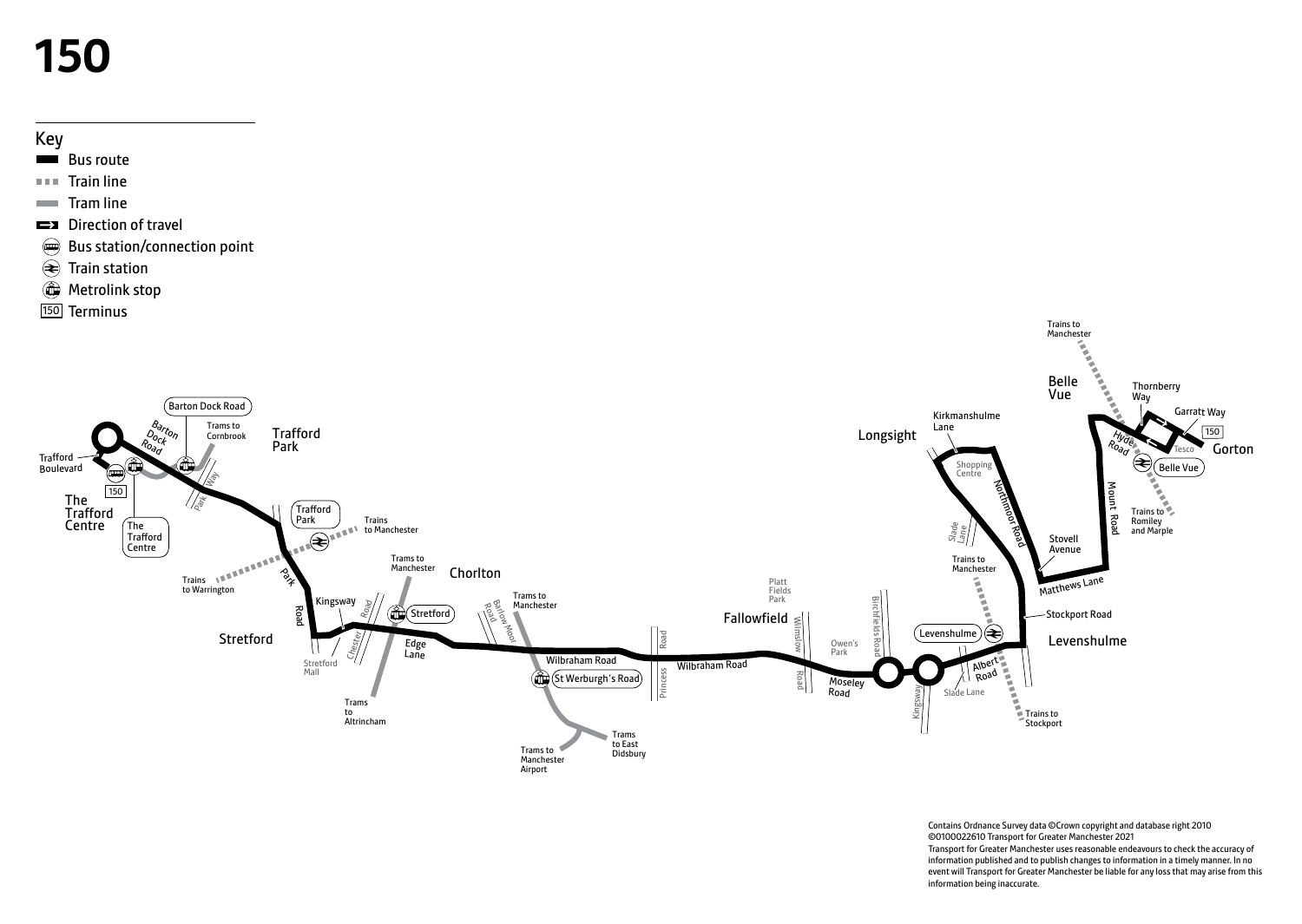# **150**



- Bus route
- **Train line**
- $\blacksquare$  Tram line
- **EX** Direction of travel
- Bus station/connection point
- $\overline{\text{}}$  Train station
- **Metrolink stop**
- 150 Terminus



Contains Ordnance Survey data ©Crown copyright and database right 2010 ©0100022610 Transport for Greater Manchester 2021 Transport for Greater Manchester uses reasonable endeavours to check the accuracy of information published and to publish changes to information in a timely manner. In no event will Transport for Greater Manchester be liable for any loss that may arise from this information being inaccurate.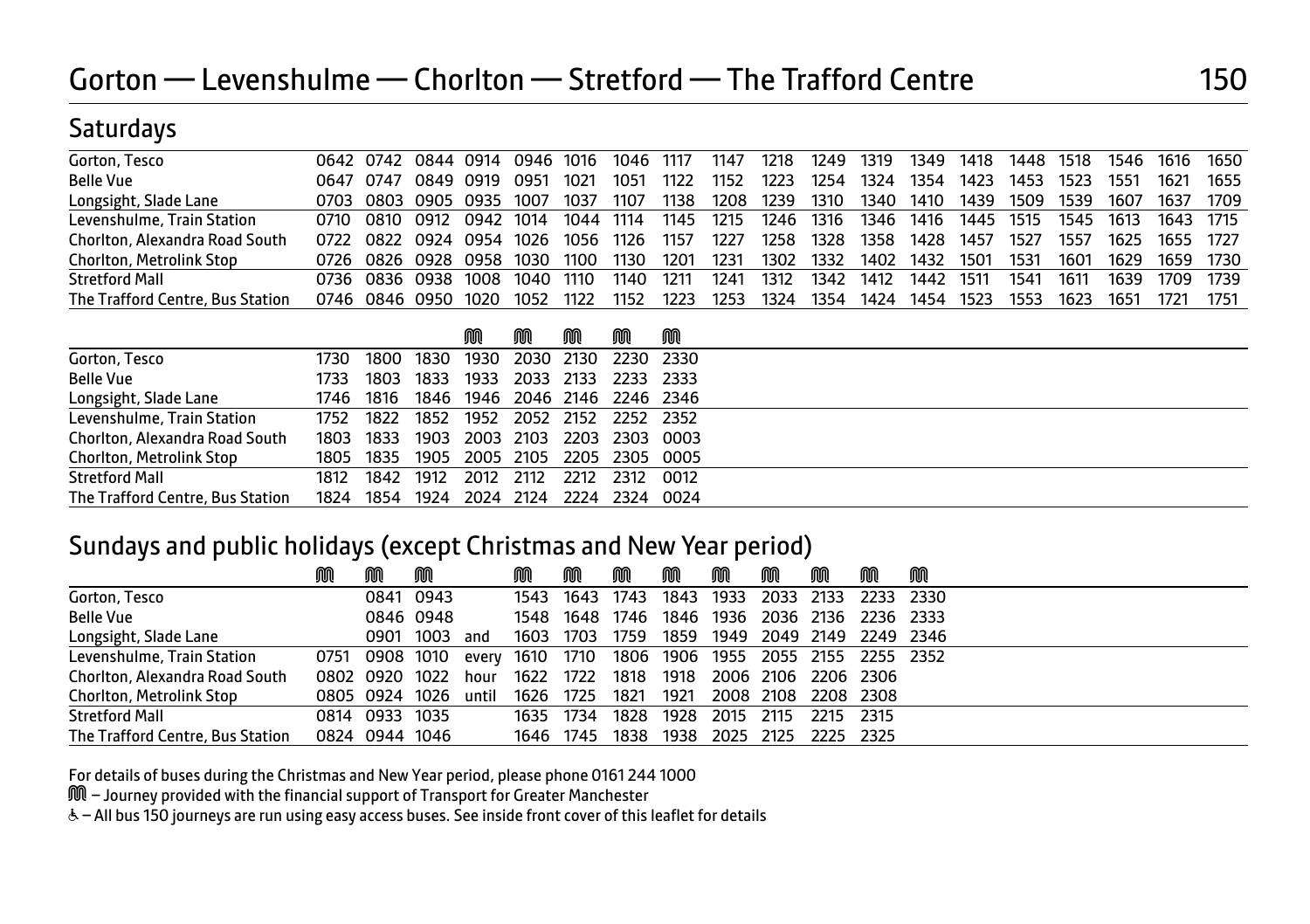#### **Saturdays**

| Gorton, Tesco                    |       |      | 0642 0742 0844 0914 0946 1016 |      |      |      | 1046 | 1117 | 1147 | 1218 | 1249 | 1319  | 1349 | 1418      | 1448 | 1518 | 1546 | 1616      | 1650 |
|----------------------------------|-------|------|-------------------------------|------|------|------|------|------|------|------|------|-------|------|-----------|------|------|------|-----------|------|
| <b>Belle Vue</b>                 | 0647  | 0747 | 0849 0919                     |      | 0951 | 1021 | 1051 | 1122 | 1152 | 1223 | 1254 | 1324  | 1354 | 1423      | 1453 | 1523 | 1551 | 1621      | 1655 |
| Longsight, Slade Lane            | 0703  |      | 0803 0905 0935                |      | 1007 | 1037 | 1107 | 1138 | 1208 | 1239 | 1310 | 1340  | 1410 | 1439      | 1509 | 1539 | 1607 | 1637      | 1709 |
| Levenshulme, Train Station       | 0710. |      | 0810 0912 0942 1014           |      |      | 1044 | 1114 | 1145 | 1215 | 1246 | 1316 | 1346  | 1416 | 1445 1515 |      | 1545 | 1613 | 1643 1715 |      |
| Chorlton, Alexandra Road South   | 0722  |      | 0822 0924 0954                |      | 1026 | 1056 | 1126 | 1157 | 1227 | 1258 | 1328 | 1358. | 1428 | 1457      | 1527 | 1557 | 1625 | 1655 1727 |      |
| <b>Chorlton, Metrolink Stop</b>  | 0726  |      | 0826 0928 0958 1030           |      |      | 1100 | 1130 | 1201 | 1231 | 1302 | 1332 | 1402  | 1432 | 1501      | 1531 | 1601 | 1629 | 1659 1730 |      |
| <b>Stretford Mall</b>            | 0736  |      | 0836 0938                     | 1008 | 1040 | 1110 | 1140 | 1211 | 1241 | 1312 | 1342 | 1412  | 1442 | 1511      | 1541 | 1611 | 1639 | 1709      | 1739 |
| The Trafford Centre, Bus Station | 0746  |      | 0846 0950                     | 1020 | 1052 | 1122 | 1152 | 1223 | 1253 | 1324 | 1354 | 1424  | 1454 | 1523      | 1553 | 1623 | 1651 |           | 1751 |

|                                 |      |                     | M | M | M | M | M                                       |  |
|---------------------------------|------|---------------------|---|---|---|---|-----------------------------------------|--|
| Gorton, Tesco                   |      |                     |   |   |   |   | 1730 1800 1830 1930 2030 2130 2230 2330 |  |
| Belle Vue                       |      |                     |   |   |   |   | 1733 1803 1833 1933 2033 2133 2233 2333 |  |
| Longsight, Slade Lane           |      |                     |   |   |   |   | 1746 1816 1846 1946 2046 2146 2246 2346 |  |
| Levenshulme, Train Station      |      |                     |   |   |   |   | 1752 1822 1852 1952 2052 2152 2252 2352 |  |
| Chorlton, Alexandra Road South  |      |                     |   |   |   |   | 1803 1833 1903 2003 2103 2203 2303 0003 |  |
| <b>Chorlton, Metrolink Stop</b> |      |                     |   |   |   |   | 1805 1835 1905 2005 2105 2205 2305 0005 |  |
| Stretford Mall                  | 1812 | 1842 1912 2012 2112 |   |   |   |   | 2212 2312 0012                          |  |

#### Sundays and public holidays (except Christmas and New Year period)

|                                  | ⋒ | M              | M         |       |           | M         | m    | M    | M         | M                                  | m         | M | M |
|----------------------------------|---|----------------|-----------|-------|-----------|-----------|------|------|-----------|------------------------------------|-----------|---|---|
| Gorton, Tesco                    |   |                | 0841 0943 |       |           | 1543 1643 | 1743 |      | 1843 1933 | 2033 2133 2233 2330                |           |   |   |
| <b>Belle Vue</b>                 |   |                | 0846 0948 |       |           | 1548 1648 | 1746 |      |           | 1846 1936 2036 2136 2236 2333      |           |   |   |
| Longsight, Slade Lane            |   |                | 0901 1003 | and   | 1603      | 1703      | 1759 |      |           | 1859 1949 2049 2149 2249 2346      |           |   |   |
| Levenshulme, Train Station       |   | 0751 0908 1010 |           | every |           | 1610 1710 |      |      |           | 1806 1906 1955 2055 2155 2255 2352 |           |   |   |
| Chorlton, Alexandra Road South   |   | 0802 0920 1022 |           | hour  | 1622      | 1722      | 1818 | 1918 |           | 2006 2106 2206 2306                |           |   |   |
| Chorlton, Metrolink Stop         |   | 0805 0924 1026 |           | until | 1626      | 1725      | 1821 | 1921 |           | 2008 2108 2208 2308                |           |   |   |
| <b>Stretford Mall</b>            |   | 0814 0933 1035 |           |       | 1635 1734 |           | 1828 | 1928 | 2015      | 2115                               | 2215 2315 |   |   |
| The Trafford Centre, Bus Station |   | 0824 0944 1046 |           |       |           | 1646 1745 | 1838 | 1938 | 2025 2125 |                                    | 2225 2325 |   |   |

For details of buses during the Christmas and New Year period, please phone 0161 244 1000

The Trafford Centre, Bus Station 1824 1854 1924 2024 2124 2224 2324 0024

M – Journey provided with the financial support of Transport for Greater Manchester

W– All bus 150 journeys are run using easy access buses. See inside front cover of this leaflet for details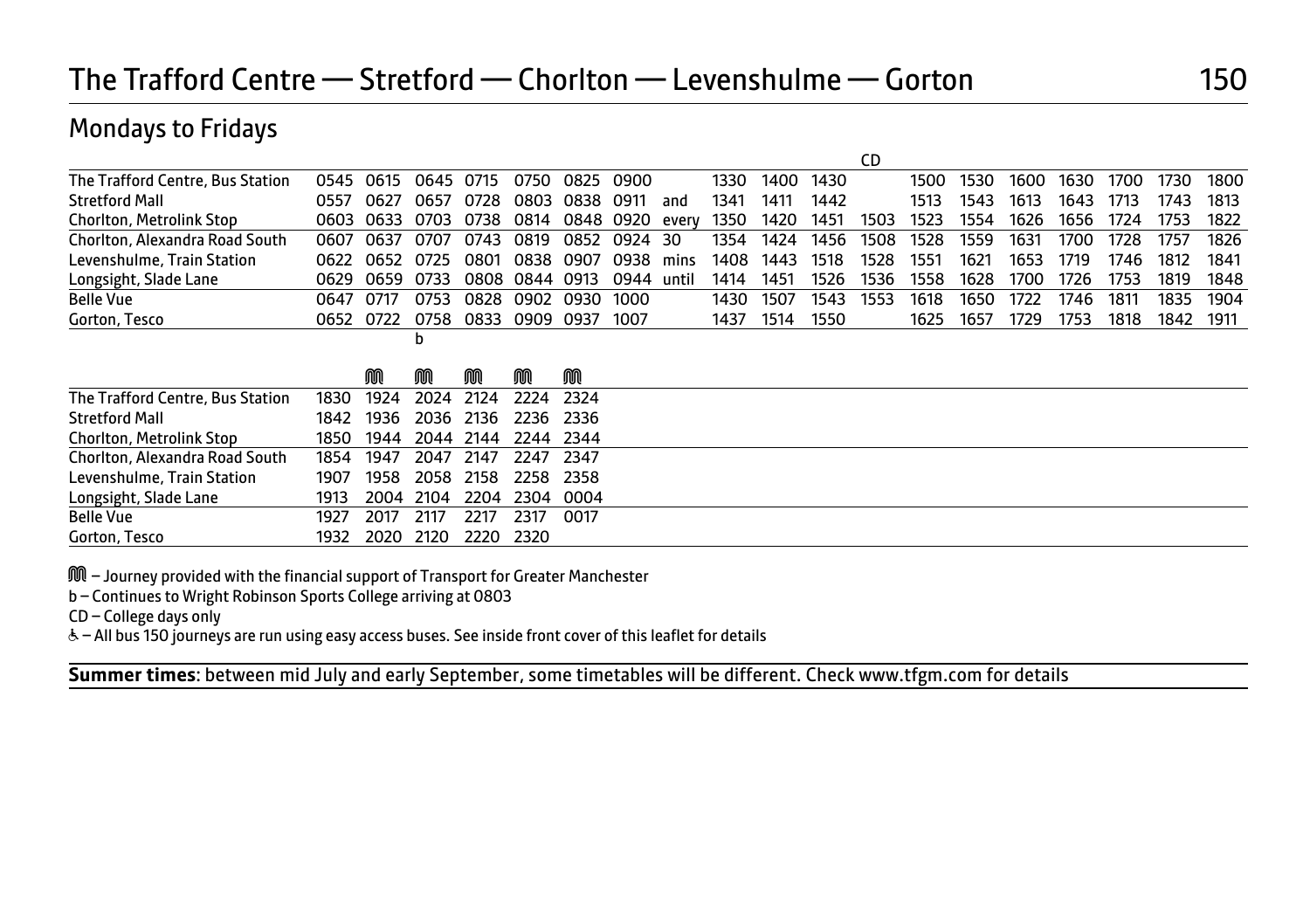## The Trafford Centre — Stretford — Chorlton — Levenshulme — Gorton 150

#### Mondays to Fridays

|                                  |      |      |      |      |      |      |      |       |      |      |      | CD   |      |      |      |      |      |      |      |
|----------------------------------|------|------|------|------|------|------|------|-------|------|------|------|------|------|------|------|------|------|------|------|
| The Trafford Centre, Bus Station | 0545 | 0615 | 0645 | 0715 | 0750 | 0825 | 0900 |       | 1330 | 1400 | 1430 |      | 1500 | 1530 | 1600 | 1630 | 1700 | 1730 | 1800 |
| <b>Stretford Mall</b>            | 0557 | 0627 | 0657 | 0728 | 0803 | 0838 | 0911 | and   | 1341 | 1411 | 1442 |      | 1513 | 1543 | 1613 | 1643 | 1713 | 1743 | 1813 |
| Chorlton, Metrolink Stop         | 0603 | 0633 | 0703 | 0738 | 0814 | 0848 | 0920 | every | 1350 | 1420 | 1451 | 1503 | 1523 | 1554 | 1626 | 1656 | 1724 | 1753 | 1822 |
| Chorlton, Alexandra Road South   | 0607 | 0637 | 0707 | 0743 | 0819 | 0852 | 0924 | 30    | 1354 | 1424 | 1456 | 1508 | 1528 | 1559 | 1631 | 1700 | 1728 | 1757 | 1826 |
| Levenshulme, Train Station       | 0622 | 0652 | 0725 | 0801 | 0838 | 0907 | 0938 | mins  | 1408 | 1443 | 1518 | 1528 | 1551 | 1621 | 1653 | 1719 | 1746 | 1812 | 1841 |
| Longsight, Slade Lane            | 0629 | 0659 | 0733 | 0808 | 0844 | 0913 | 0944 | until | 1414 | 1451 | 1526 | 1536 | 1558 | 1628 | 1700 | 1726 | 1753 | 1819 | 1848 |
| <b>Belle Vue</b>                 | 0647 | 0717 | 0753 | 0828 | 0902 | 0930 | 1000 |       | 1430 | 1507 | 1543 | 1553 | 1618 | 1650 | 1722 | 1746 | 1811 | 1835 | 1904 |
| Gorton, Tesco                    | 0652 | 0722 | 0758 | 0833 | 0909 | 0937 | 1007 |       | 1437 | 1514 | 1550 |      | 1625 | 1657 | 1729 | 1753 | 1818 | 1842 | 1911 |
|                                  |      |      | b    |      |      |      |      |       |      |      |      |      |      |      |      |      |      |      |      |
|                                  |      |      |      |      |      |      |      |       |      |      |      |      |      |      |      |      |      |      |      |
|                                  |      | M    | M    | M    | M    | M    |      |       |      |      |      |      |      |      |      |      |      |      |      |
| The Trafford Centre, Bus Station | 1830 | 1924 | 2024 | 2124 | 2224 | 2324 |      |       |      |      |      |      |      |      |      |      |      |      |      |
| <b>Stretford Mall</b>            | 1842 | 1936 | 2036 | 2136 | 2236 | 2336 |      |       |      |      |      |      |      |      |      |      |      |      |      |
| <b>Chorlton, Metrolink Stop</b>  | 1850 | 1944 | 2044 | 2144 | 2244 | 2344 |      |       |      |      |      |      |      |      |      |      |      |      |      |
| Chorlton, Alexandra Road South   | 1854 | 1947 | 2047 | 2147 | 2247 | 2347 |      |       |      |      |      |      |      |      |      |      |      |      |      |
| Levenshulme, Train Station       | 1907 | 1958 | 2058 | 2158 | 2258 | 2358 |      |       |      |      |      |      |      |      |      |      |      |      |      |
| Longsight, Slade Lane            | 1913 | 2004 | 2104 | 2204 | 2304 | 0004 |      |       |      |      |      |      |      |      |      |      |      |      |      |
| <b>Belle Vue</b>                 | 1927 | 2017 | 2117 | 2217 | 2317 | 0017 |      |       |      |      |      |      |      |      |      |      |      |      |      |
| Gorton, Tesco                    | 1932 | 2020 | 2120 | 2220 | 2320 |      |      |       |      |      |      |      |      |      |      |      |      |      |      |

M – Journey provided with the financial support of Transport for Greater Manchester

b – Continues to Wright Robinson Sports College arriving at 0803

CD – College days only

& - All bus 150 journeys are run using easy access buses. See inside front cover of this leaflet for details

**Summer times**: between mid July and early September, some timetables will be different. Check www.tfgm.com for details